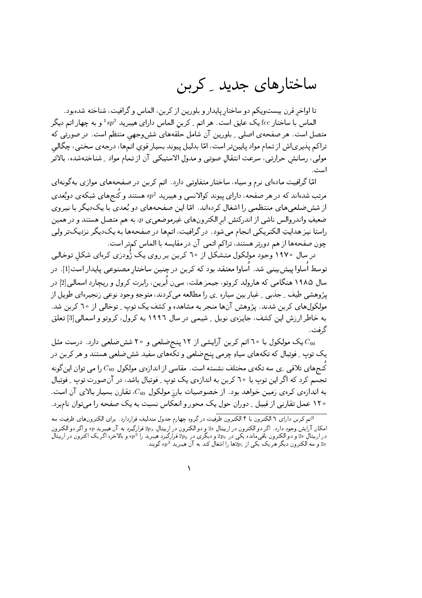## ساختارهای جدید \_ کرین

تا اواخر قرن بیستویکم دو ساختار پایدار و بلورین از کربن، الماس و گرافیت، شناخته شدهبود. الماس با ساختار fcc یک عایق است. هر اتم <sub>-</sub> کربن الماس دارای هیبرید 1 $sp^3$  و به چهار اتم دیگر متصل است. هر صفحه ی اصلی <sub>-</sub> بلورین آن شامل حلقههای شش وجهی منتظم است. در صورتی که تراکم پذیریاش از تمام مواد پایینتر است، امّا بدلیل پیوند بسیار قوی اتمها، درجهی سختی، چگالی مولى، رسانش حرارتي، سرعت انتقال صوتي و مدول الاستيكي آن از تمام مواد ِ شناختهشده، بالاتر است .

امّا گرافیت مادهای نرم و سیاه، ساختار متفاوتی دارد. اتم کربن در صفحههای موازی بهگونهای مرتب شدهاند که در هر صفحه، دارای پیوند کوالانسی و هیبرید  $sp^2$  هستند و کُنجهای شبکهی دوبُعدی از شش ضلعی های منتظمی را اشغال کردهاند. امّا این صفحههای دو بُعدی با یکدیگر با نیروی ضعیفِ واندروالس ناشی از اندرکنش ابر الکترونهای غیرموضعی، p، به هم متصل هستند و در همین راستا نیز هدایتِ الکتریکی انجام می شود. در گرافیت، اتمها در صفحهها به یکدیگر نزدیکتر ولی چون صفحهها از هم دورتر هستند، تراكم اتمى آن در مقايسه با الماس كمتر است.

در سال ۱۹۷۰ وجود مولکول متشکل از ۲۰ کربن بر روی یک ژُودزی کرهای شکل توخالبی توسط اُساوا پیش بینی شد. اُساوا معتقد بود که کربن در چنین ساختار مصنوعی پایدار است[1]. در سال ۱۹۸۵ هنگامی که هارولد کروتو، جیمز هلت، سین ابرین، رابرت کرول و ریچارد اسمالی[2] در پژوهشي طيف \_ جذبي \_ غبار بين سياره \_ي ,ا مطالعه مي كردند ، متوجهِ وجود نوعي زنجيرهاي طويل از مولکولهای کربن شدند. پژوهش آنها منجر به مشاهده و کشف یک توپ ِ توخالی از ٦٥ کربن شد. به خاطر ارزش این کشف، جایزهی نوبل ِ شیمی در سال ۱۹۹۲ به کرول، کروتو و اسمالی[3] تعلق گ فت .

یک مولکول با ٦۰ اتم کربن آرایشی از ١٢ پنج ضلعی و ٢٠ شش ضلعی دارد. درست مثل  $C_{60}$ یک توپ <sub>-</sub> فوتبال که تکههای سیاو چرمی پنج *ض*لعی و تکههای سفید شش *ض*لعی هستند و هر کربن در کنجهای تلاقی ِ ی سه تکهی مختلف نشسته است. مقاسی از اندازهی مولکول  $C_{60}$  را می توان اینگونه تجسم کرد که اگر این توپ با ٦٠ کربن به اندازهي يک توپ ِ فوتبال باشد، در آن صورت توپ ِ فوتبال به اندازهی کرهی زمین خواهد بود. از خصوصیات بارز مولکول 60، تقارن بسیار بالای آن است. ۱۲۰ عمل تقارنی از قبیل <sub>-</sub> دوران حول یک محور و انعکاس نسبت به یک صفحه را می توان نامبرد.

 $\lambda$ 

<sup>۔&</sup>lt;br><sup>1</sup>اتم کربن دارای ٦ الکترون با ۴ الکترون ظرفیت در گروہِ چھارم جدول مندلیف قراردارد. برای الکترون۵ای ظرفیت سه امکان آرایش وجود دارد. اگر دو الکترون در اربیتالِ 2s و دو الکترون در اربیتالِ ۳2<sub>۰۰ قرارگیر</sub>د به آن هیبریدِ <sub>9</sub>g و اگر دو الکترون<br>در اربیتالِ 2s و دو الکترون باقی مانده یکی در ۳<sub>۶۰۰</sub> و دیگری در ۶p<sub>۱۰ قرار</sub>گیرد هیبرید را ۶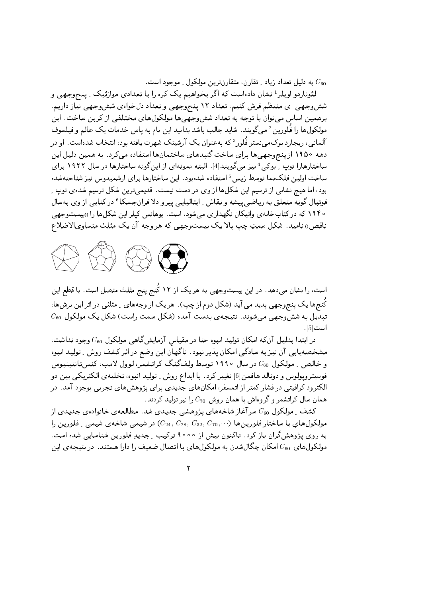به دلیل تعداد زیاد ـ تقارن، متقارنترین مولکول ـ موجود است.  $C_{60}$ 

لئوناردو اویلر<sup>1</sup> نشان دادهاست که اگر بخواهیم یک کره را با تعدادی موازئیک <sub>-</sub> پنج<u>وجهی</u> و شش وجهی ی منتظم فرش کنیم، تعداد ۱۲ پنج وجهی و تعداد دل خواهی شش وجهی نیاز داریم. برهمین اساس میتوان با توجه به تعداد شش وجهیها مولکولهای مختلفی از کربن ساخت. این مولکولها را فُلورین <sup>2</sup> میگویند. شاید جالب باشد بدانید این نام به پاس خدمات یک عالم و فیلسوف آلمانی ، ریجارد بوک می نستر فَلور<sup>3</sup> که بهعنوان یک آرشیتک شهرت یافته بود ، انتخاب شدهاست . او در دهه ۱۹۵۰ از پنج وجهي ها براي ساخت گنبدهاي ساختمان ها استفاده مي كرد. به همين دليل اين ساختارهارا توپ \_ بوکی <sup>4</sup> نیز می گویند[4]. البته نمونهای از این گونه ساختارها در سال ۱۹۲۲ برای ساخت اولین فلکنما توسط زیس<sup>5</sup> استفاده شدهبود. این ساختارها برای ارشمیدوس نیز شناحتهشده بود، اما هیچ نشانی از ترسیم این شکلها از وی در دست نیست. قدیمیترین شکل ترسیم شدهی توپ ِ فوتبال گونه متعلق به ریاضیپیشه و نقاش ِ ایتالیایی پیرو دلا فرانجسکا<sup>6</sup> در کتابی از وی بهسال ه ۱۹۴ که در کتابخانه ی واتیکان نگهداری میشود، است. یوهانس کپلر این شکلها را «بیستوجهی ناقص» ناميد. شكل سمتِ چپ بالا يك بيستوجهي كه هر وجه آن يك مثلث متساوىالاضلاع



است، را نشان میدهد. در این بیستوجهی به هر یک از ۱۲ کُنج پنج مثلث متصل است. با قطع این کُنجها یک پنج وجهی پدید می آید (شکل دوم از چپ). هر یک از وجههای ِ مثلثی در اثر این برشها،  $C_{60}$  تبدیل به ششّوجههی می شوند. نتیجه $\sigma$  بدست آمده (شکل سمت راست) شکل یک مولکول است [5].

در ابتدا بدلیل آن که امکان تولید انبوه حتا در مقیاس آزمایش گاهی مولکول  $C_{60}$  وجود نداشت، مشخصهپابی آن نیز به سادگی امکان پذیر نبود. ناگهان این وضع در اثر کشف روش ِ تولید انبوه و خالص په مولکول  $C_{60}$  در سال ۱۹۹۰ توسط ولف گنگ کراتشمر، لوول لامب، کنستانتینیوس فوسیتروپولوس و دونالد هافمن[6] تغییر کرد. با ابداع روش ِ تولید انبوه، تخلیهی الکتریکی بین دو الکترود کرافیتی در فشار کمتر از اتمسفر، امکانهای جدیدی برای پژوهشهای تجربی بوجود آمد. در همان سال کراتشمر و گروهاش با همان روش  $C_{70}$  را نیز تولید کردند.

کشف ِ مولکول  $C_{60}$  سرآغاز شاخههای پژوهشی جدیدی شد. مطالعهی خانوادهی جدیدی از مولکولهای با ساختار فلورین ها  $(C_{24},\,C_{28},\,C_{32},\,C_{70},\cdots)$  در شیمبی شاخه $\zeta$  شیمبی په فلورین را به روی پژوهش گران باز کرد. تاکنون بیش از ۹۰۰۰ ترکیب - جدیدِ فلورین شناسایی شده است. مولکولهای  $C_{60}$ امکان چگالشدن به مولکولهای با اتصال ضعیف را دارا هستند. در نتیجهی این